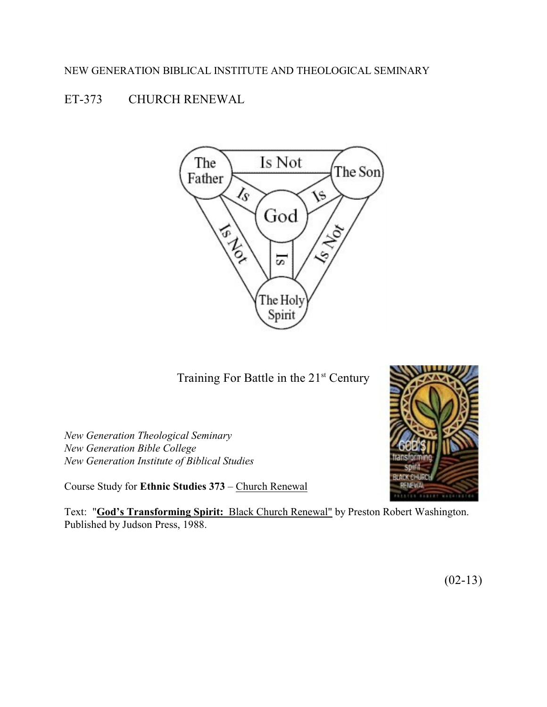## NEW GENERATION BIBLICAL INSTITUTE AND THEOLOGICAL SEMINARY

# ET-373 CHURCH RENEWAL



Training For Battle in the  $21<sup>st</sup>$  Century

*New Generation Theological Seminary New Generation Bible College New Generation Institute of Biblical Studies*

Course Study for **Ethnic Studies 373** – Church Renewal



Text: "**God's Transforming Spirit:** Black Church Renewal" by Preston Robert Washington. Published by Judson Press, 1988.

 $(02-13)$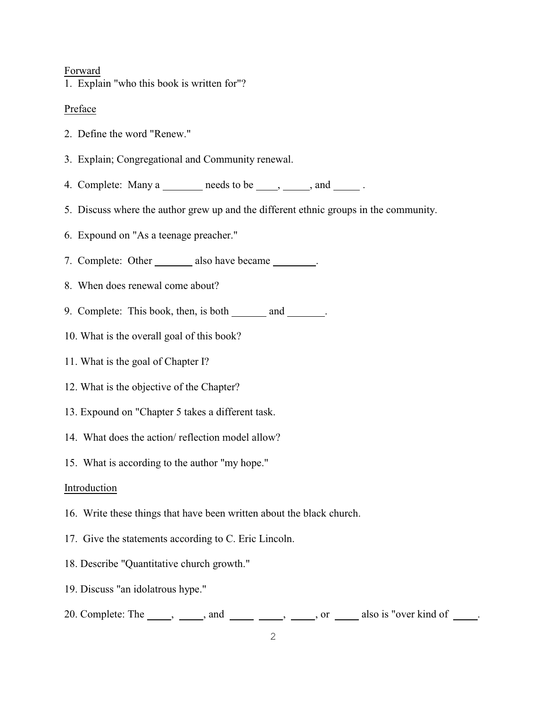#### Forward

1. Explain "who this book is written for"?

## Preface

- 2. Define the word "Renew."
- 3. Explain; Congregational and Community renewal.
- 4. Complete: Many  $a \quad$  needs to be  $\quad$ ,  $\quad$ , and  $\quad$ .
- 5. Discuss where the author grew up and the different ethnic groups in the community.
- 6. Expound on "As a teenage preacher."
- 7. Complete: Other \_\_\_\_\_\_\_ also have became \_\_\_\_\_\_.
- 8. When does renewal come about?
- 9. Complete: This book, then, is both  $\_\_\_\$  and  $\_\_\_\$ .
- 10. What is the overall goal of this book?
- 11. What is the goal of Chapter I?
- 12. What is the objective of the Chapter?
- 13. Expound on "Chapter 5 takes a different task.
- 14. What does the action/ reflection model allow?
- 15. What is according to the author "my hope."

## Introduction

- 16. Write these things that have been written about the black church.
- 17. Give the statements according to C. Eric Lincoln.
- 18. Describe "Quantitative church growth."
- 19. Discuss "an idolatrous hype."
- 20. Complete: The  $\_\_\_\_$ ,  $\_\_\_\_$  and  $\_\_\_\_\_$ ,  $\_\_\_\_$ , or  $\_\_\_\_$  also is "over kind of  $\_\_\_\_\.$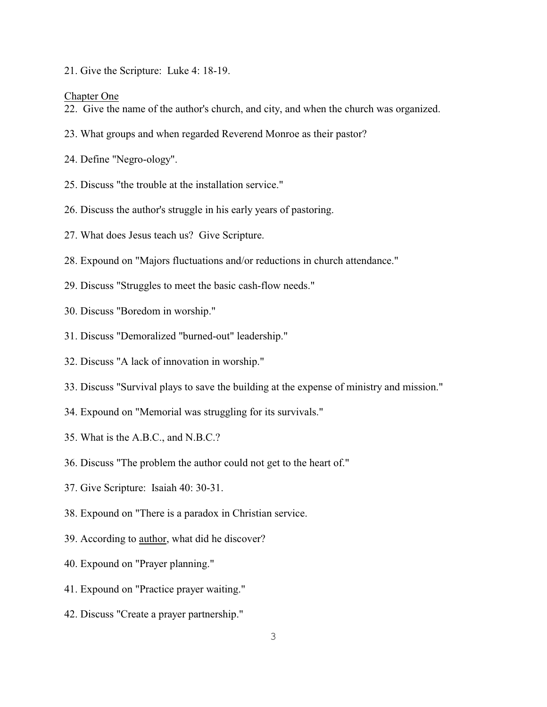21. Give the Scripture: Luke 4: 18-19.

#### Chapter One

- 22. Give the name of the author's church, and city, and when the church was organized.
- 23. What groups and when regarded Reverend Monroe as their pastor?
- 24. Define "Negro-ology".
- 25. Discuss "the trouble at the installation service."
- 26. Discuss the author's struggle in his early years of pastoring.
- 27. What does Jesus teach us? Give Scripture.
- 28. Expound on "Majors fluctuations and/or reductions in church attendance."
- 29. Discuss "Struggles to meet the basic cash-flow needs."
- 30. Discuss "Boredom in worship."
- 31. Discuss "Demoralized "burned-out" leadership."
- 32. Discuss "A lack of innovation in worship."
- 33. Discuss "Survival plays to save the building at the expense of ministry and mission."
- 34. Expound on "Memorial was struggling for its survivals."
- 35. What is the A.B.C., and N.B.C.?
- 36. Discuss "The problem the author could not get to the heart of."
- 37. Give Scripture: Isaiah 40: 30-31.
- 38. Expound on "There is a paradox in Christian service.
- 39. According to author, what did he discover?
- 40. Expound on "Prayer planning."
- 41. Expound on "Practice prayer waiting."
- 42. Discuss "Create a prayer partnership."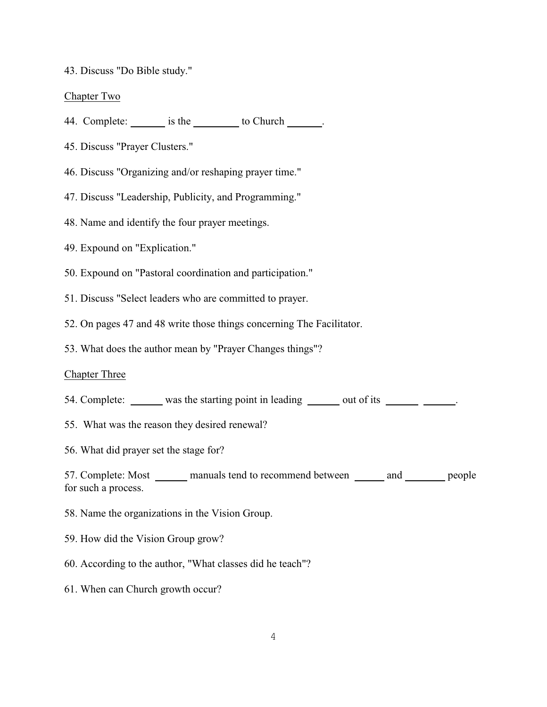43. Discuss "Do Bible study."

Chapter Two

- 44. Complete: is the to Church .
- 45. Discuss "Prayer Clusters."
- 46. Discuss "Organizing and/or reshaping prayer time."
- 47. Discuss "Leadership, Publicity, and Programming."
- 48. Name and identify the four prayer meetings.
- 49. Expound on "Explication."
- 50. Expound on "Pastoral coordination and participation."
- 51. Discuss "Select leaders who are committed to prayer.
- 52. On pages 47 and 48 write those things concerning The Facilitator.
- 53. What does the author mean by "Prayer Changes things"?

### Chapter Three

- 54. Complete: was the starting point in leading was used out of its was expected.
- 55. What was the reason they desired renewal?
- 56. What did prayer set the stage for?

57. Complete: Most manuals tend to recommend between and people for such a process.

- 58. Name the organizations in the Vision Group.
- 59. How did the Vision Group grow?
- 60. According to the author, "What classes did he teach"?
- 61. When can Church growth occur?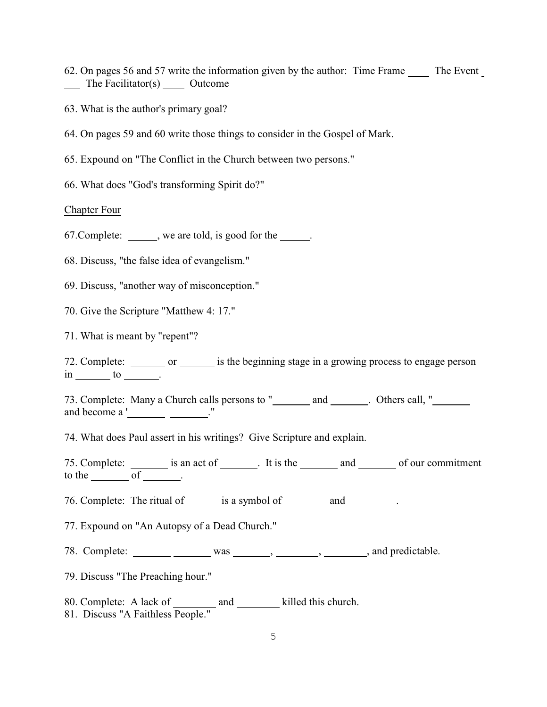- 62. On pages 56 and 57 write the information given by the author: Time Frame The Event The Facilitator(s) Outcome
- 63. What is the author's primary goal?
- 64. On pages 59 and 60 write those things to consider in the Gospel of Mark.
- 65. Expound on "The Conflict in the Church between two persons."
- 66. What does "God's transforming Spirit do?"

Chapter Four

67.Complete: , we are told, is good for the .

68. Discuss, "the false idea of evangelism."

69. Discuss, "another way of misconception."

70. Give the Scripture "Matthew 4: 17."

71. What is meant by "repent"?

72. Complete: \_\_\_\_\_\_\_ or \_\_\_\_\_\_ is the beginning stage in a growing process to engage person  $\sin \underline{\hspace{1cm}}$  to  $\underline{\hspace{1cm}}$ .

73. Complete: Many a Church calls persons to " \_\_\_\_\_\_\_ and \_\_\_\_\_\_\_. Others call, " and become a ' ..."

74. What does Paul assert in his writings? Give Scripture and explain.

75. Complete: <u>\_\_\_\_\_\_</u> is an act of \_\_\_\_\_\_\_. It is the \_\_\_\_\_\_\_ and \_\_\_\_\_\_\_ of our commitment to the  $\rule{1em}{0.15mm}$  of  $\rule{1.5mm}{0.15mm}$ .

76. Complete: The ritual of is a symbol of and .

77. Expound on "An Autopsy of a Dead Church."

78. Complete: was was , , , , , , and predictable.

79. Discuss "The Preaching hour."

80. Complete: A lack of \_\_\_\_\_\_\_\_ and \_\_\_\_\_\_\_\_ killed this church.

81. Discuss "A Faithless People."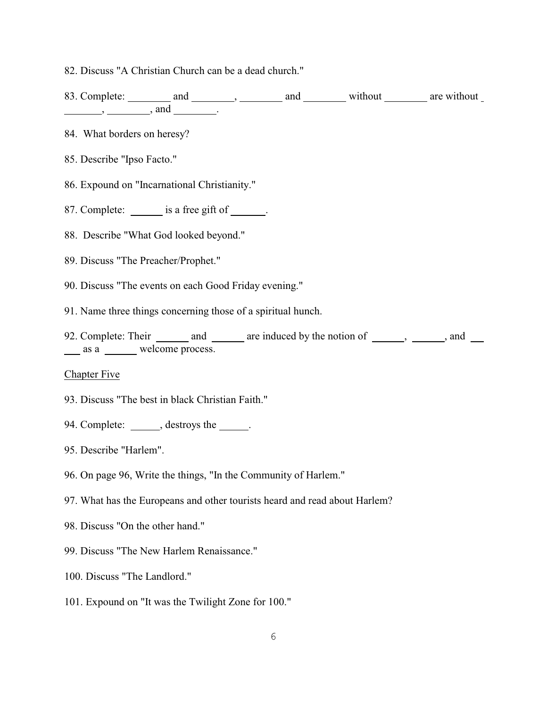82. Discuss "A Christian Church can be a dead church."

83. Complete: \_\_\_\_\_\_\_\_ and \_\_\_\_\_\_\_\_, \_\_\_\_\_\_\_ and \_\_\_\_\_\_\_\_ without \_\_\_\_\_\_\_ are without  $\qquad \qquad , \qquad \qquad ,$  and  $\qquad \qquad .$ 

- 84. What borders on heresy?
- 85. Describe "Ipso Facto."
- 86. Expound on "Incarnational Christianity."
- 87. Complete: <u>is a free gift of \_\_\_\_</u>.
- 88. Describe "What God looked beyond."
- 89. Discuss "The Preacher/Prophet."
- 90. Discuss "The events on each Good Friday evening."
- 91. Name three things concerning those of a spiritual hunch.
- 92. Complete: Their  $\frac{1}{\sqrt{2}}$  and  $\frac{1}{\sqrt{2}}$  are induced by the notion of  $\frac{1}{\sqrt{2}}$ ,  $\frac{1}{\sqrt{2}}$ , and  $\frac{1}{\sqrt{2}}$ as a welcome process.

#### Chapter Five

- 93. Discuss "The best in black Christian Faith."
- 94. Complete: , destroys the .
- 95. Describe "Harlem".
- 96. On page 96, Write the things, "In the Community of Harlem."
- 97. What has the Europeans and other tourists heard and read about Harlem?
- 98. Discuss "On the other hand."
- 99. Discuss "The New Harlem Renaissance."
- 100. Discuss "The Landlord."
- 101. Expound on "It was the Twilight Zone for 100."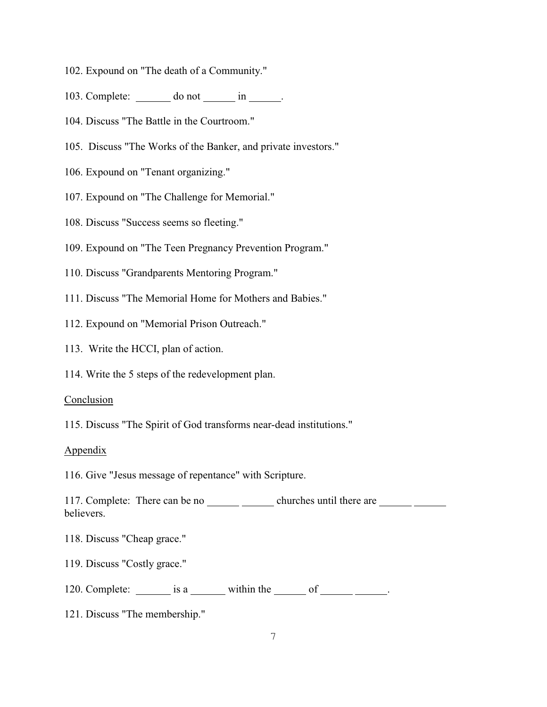- 102. Expound on "The death of a Community."
- 103. Complete:  $\_\_\_\_\_\_\_\_\_\_\_\_\_\_\_\_\_\_\_\_\_\_\_\_\_\_\_\_\_\_\_\_.\_$
- 104. Discuss "The Battle in the Courtroom."
- 105. Discuss "The Works of the Banker, and private investors."
- 106. Expound on "Tenant organizing."
- 107. Expound on "The Challenge for Memorial."
- 108. Discuss "Success seems so fleeting."
- 109. Expound on "The Teen Pregnancy Prevention Program."
- 110. Discuss "Grandparents Mentoring Program."
- 111. Discuss "The Memorial Home for Mothers and Babies."
- 112. Expound on "Memorial Prison Outreach."
- 113. Write the HCCI, plan of action.
- 114. Write the 5 steps of the redevelopment plan.

#### Conclusion

115. Discuss "The Spirit of God transforms near-dead institutions."

#### Appendix

116. Give "Jesus message of repentance" with Scripture.

117. Complete: There can be no churches until there are believers.

118. Discuss "Cheap grace."

119. Discuss "Costly grace."

120. Complete:  $\frac{120}{\pi}$  is a within the of  $\frac{120}{\pi}$ .

121. Discuss "The membership."